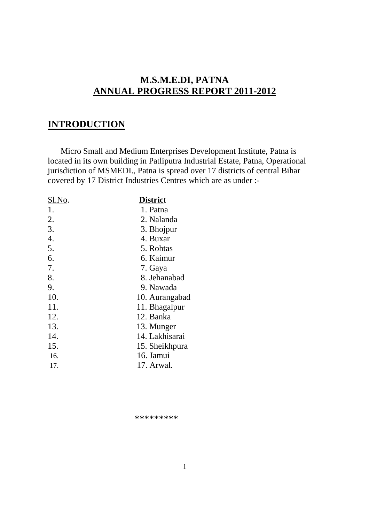# **M.S.M.E.DI, PATNA ANNUAL PROGRESS REPORT 2011-2012**

### **INTRODUCTION**

 Micro Small and Medium Enterprises Development Institute, Patna is located in its own building in Patliputra Industrial Estate, Patna, Operational jurisdiction of MSMEDI., Patna is spread over 17 districts of central Bihar covered by 17 District Industries Centres which are as under :-

| <b>District</b> |
|-----------------|
| 1. Patna        |
| 2. Nalanda      |
| 3. Bhojpur      |
| 4. Buxar        |
| 5. Rohtas       |
| 6. Kaimur       |
| 7. Gaya         |
| 8. Jehanabad    |
| 9. Nawada       |
| 10. Aurangabad  |
| 11. Bhagalpur   |
| 12. Banka       |
| 13. Munger      |
| 14. Lakhisarai  |
| 15. Sheikhpura  |
| 16. Jamui       |
| 17. Arwal.      |
|                 |

\*\*\*\*\*\*\*\*\*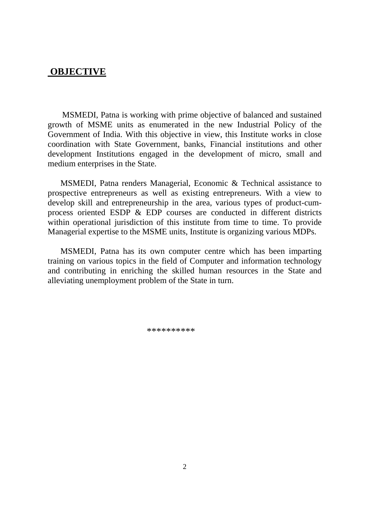#### **OBJECTIVE**

 MSMEDI, Patna is working with prime objective of balanced and sustained growth of MSME units as enumerated in the new Industrial Policy of the Government of India. With this objective in view, this Institute works in close coordination with State Government, banks, Financial institutions and other development Institutions engaged in the development of micro, small and medium enterprises in the State.

 MSMEDI, Patna renders Managerial, Economic & Technical assistance to prospective entrepreneurs as well as existing entrepreneurs. With a view to develop skill and entrepreneurship in the area, various types of product-cumprocess oriented ESDP & EDP courses are conducted in different districts within operational jurisdiction of this institute from time to time. To provide Managerial expertise to the MSME units, Institute is organizing various MDPs.

 MSMEDI, Patna has its own computer centre which has been imparting training on various topics in the field of Computer and information technology and contributing in enriching the skilled human resources in the State and alleviating unemployment problem of the State in turn.

\*\*\*\*\*\*\*\*\*\*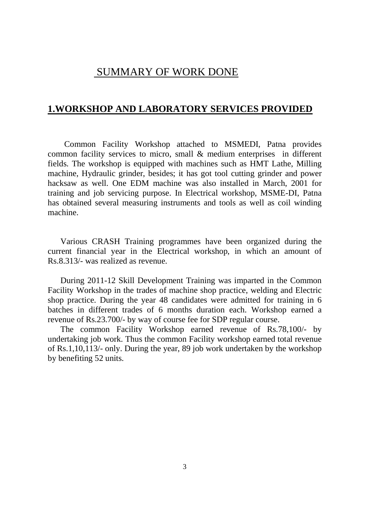# SUMMARY OF WORK DONE

#### **1.WORKSHOP AND LABORATORY SERVICES PROVIDED**

 Common Facility Workshop attached to MSMEDI, Patna provides common facility services to micro, small & medium enterprises in different fields. The workshop is equipped with machines such as HMT Lathe, Milling machine, Hydraulic grinder, besides; it has got tool cutting grinder and power hacksaw as well. One EDM machine was also installed in March, 2001 for training and job servicing purpose. In Electrical workshop, MSME-DI, Patna has obtained several measuring instruments and tools as well as coil winding machine.

 Various CRASH Training programmes have been organized during the current financial year in the Electrical workshop, in which an amount of Rs.8.313/- was realized as revenue.

 During 2011-12 Skill Development Training was imparted in the Common Facility Workshop in the trades of machine shop practice, welding and Electric shop practice. During the year 48 candidates were admitted for training in 6 batches in different trades of 6 months duration each. Workshop earned a revenue of Rs.23.700/- by way of course fee for SDP regular course.

 The common Facility Workshop earned revenue of Rs.78,100/- by undertaking job work. Thus the common Facility workshop earned total revenue of Rs.1,10,113/- only. During the year, 89 job work undertaken by the workshop by benefiting 52 units.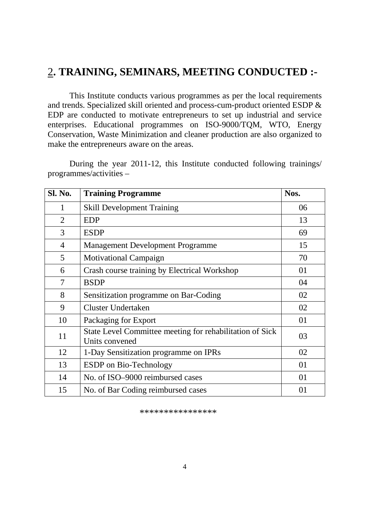# 2**. TRAINING, SEMINARS, MEETING CONDUCTED :-**

This Institute conducts various programmes as per the local requirements and trends. Specialized skill oriented and process-cum-product oriented ESDP & EDP are conducted to motivate entrepreneurs to set up industrial and service enterprises. Educational programmes on ISO-9000/TQM, WTO, Energy Conservation, Waste Minimization and cleaner production are also organized to make the entrepreneurs aware on the areas.

During the year 2011-12, this Institute conducted following trainings/ programmes/activities –

| <b>Sl. No.</b> | <b>Training Programme</b>                                                  | Nos. |
|----------------|----------------------------------------------------------------------------|------|
| 1              | <b>Skill Development Training</b>                                          | 06   |
| $\overline{2}$ | <b>EDP</b>                                                                 | 13   |
| 3              | <b>ESDP</b>                                                                | 69   |
| 4              | <b>Management Development Programme</b>                                    | 15   |
| 5              | <b>Motivational Campaign</b>                                               | 70   |
| 6              | Crash course training by Electrical Workshop                               | 01   |
| 7              | <b>BSDP</b>                                                                | 04   |
| 8              | Sensitization programme on Bar-Coding                                      | 02   |
| 9              | <b>Cluster Undertaken</b>                                                  | 02   |
| 10             | Packaging for Export                                                       | 01   |
| 11             | State Level Committee meeting for rehabilitation of Sick<br>Units convened | 03   |
| 12             | 1-Day Sensitization programme on IPRs                                      | 02   |
| 13             | <b>ESDP</b> on Bio-Technology                                              | 01   |
| 14             | No. of ISO-9000 reimbursed cases                                           | 01   |
| 15             | No. of Bar Coding reimbursed cases                                         | 01   |

\*\*\*\*\*\*\*\*\*\*\*\*\*\*\*\*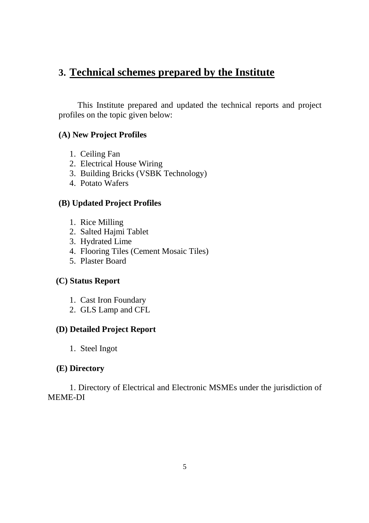# **3. Technical schemes prepared by the Institute**

 This Institute prepared and updated the technical reports and project profiles on the topic given below:

#### **(A) New Project Profiles**

- 1. Ceiling Fan
- 2. Electrical House Wiring
- 3. Building Bricks (VSBK Technology)
- 4. Potato Wafers

#### **(B) Updated Project Profiles**

- 1. Rice Milling
- 2. Salted Hajmi Tablet
- 3. Hydrated Lime
- 4. Flooring Tiles (Cement Mosaic Tiles)
- 5. Plaster Board

#### **(C) Status Report**

- 1. Cast Iron Foundary
- 2. GLS Lamp and CFL

#### **(D) Detailed Project Report**

1. Steel Ingot

#### **(E) Directory**

 1. Directory of Electrical and Electronic MSMEs under the jurisdiction of MEME-DI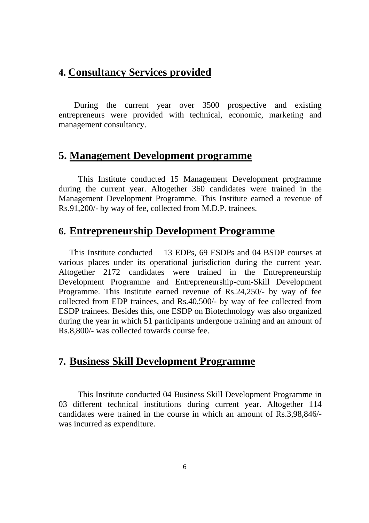# **4. Consultancy Services provided**

 During the current year over 3500 prospective and existing entrepreneurs were provided with technical, economic, marketing and management consultancy.

# **5. Management Development programme**

 This Institute conducted 15 Management Development programme during the current year. Altogether 360 candidates were trained in the Management Development Programme. This Institute earned a revenue of Rs.91,200/- by way of fee, collected from M.D.P. trainees.

# **6. Entrepreneurship Development Programme**

This Institute conducted 13 EDPs, 69 ESDPs and 04 BSDP courses at various places under its operational jurisdiction during the current year. Altogether 2172 candidates were trained in the Entrepreneurship Development Programme and Entrepreneurship-cum-Skill Development Programme. This Institute earned revenue of Rs.24,250/- by way of fee collected from EDP trainees, and Rs.40,500/- by way of fee collected from ESDP trainees. Besides this, one ESDP on Biotechnology was also organized during the year in which 51 participants undergone training and an amount of Rs.8,800/- was collected towards course fee.

# **7. Business Skill Development Programme**

 This Institute conducted 04 Business Skill Development Programme in 03 different technical institutions during current year. Altogether 114 candidates were trained in the course in which an amount of Rs.3,98,846/ was incurred as expenditure.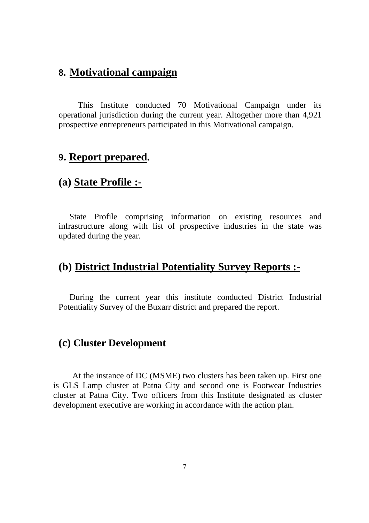# **8. Motivational campaign**

 This Institute conducted 70 Motivational Campaign under its operational jurisdiction during the current year. Altogether more than 4,921 prospective entrepreneurs participated in this Motivational campaign.

# **9. Report prepared.**

# **(a) State Profile :-**

State Profile comprising information on existing resources and infrastructure along with list of prospective industries in the state was updated during the year.

# **(b) District Industrial Potentiality Survey Reports :**-

During the current year this institute conducted District Industrial Potentiality Survey of the Buxarr district and prepared the report.

#### **(c) Cluster Development**

 At the instance of DC (MSME) two clusters has been taken up. First one is GLS Lamp cluster at Patna City and second one is Footwear Industries cluster at Patna City. Two officers from this Institute designated as cluster development executive are working in accordance with the action plan.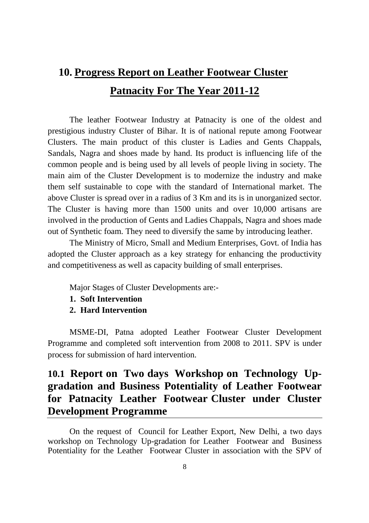# **10. Progress Report on Leather Footwear Cluster Patnacity For The Year 2011-12**

The leather Footwear Industry at Patnacity is one of the oldest and prestigious industry Cluster of Bihar. It is of national repute among Footwear Clusters. The main product of this cluster is Ladies and Gents Chappals, Sandals, Nagra and shoes made by hand. Its product is influencing life of the common people and is being used by all levels of people living in society. The main aim of the Cluster Development is to modernize the industry and make them self sustainable to cope with the standard of International market. The above Cluster is spread over in a radius of 3 Km and its is in unorganized sector. The Cluster is having more than 1500 units and over 10,000 artisans are involved in the production of Gents and Ladies Chappals, Nagra and shoes made out of Synthetic foam. They need to diversify the same by introducing leather.

The Ministry of Micro, Small and Medium Enterprises, Govt. of India has adopted the Cluster approach as a key strategy for enhancing the productivity and competitiveness as well as capacity building of small enterprises.

Major Stages of Cluster Developments are:-

- **1. Soft Intervention**
- **2. Hard Intervention**

MSME-DI, Patna adopted Leather Footwear Cluster Development Programme and completed soft intervention from 2008 to 2011. SPV is under process for submission of hard intervention.

# **10.1 Report on Two days Workshop on Technology Upgradation and Business Potentiality of Leather Footwear for Patnacity Leather Footwear Cluster under Cluster Development Programme**

On the request of Council for Leather Export, New Delhi, a two days workshop on Technology Up-gradation for Leather Footwear and Business Potentiality for the Leather Footwear Cluster in association with the SPV of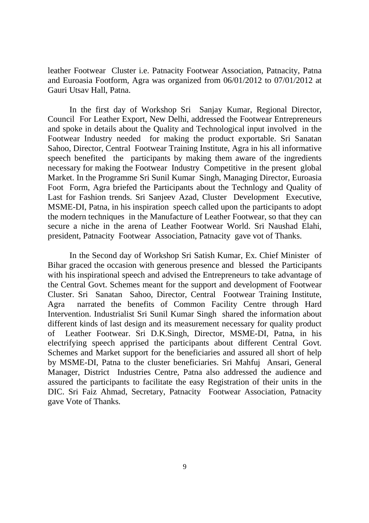leather Footwear Cluster i.e. Patnacity Footwear Association, Patnacity, Patna and Euroasia Footform, Agra was organized from 06/01/2012 to 07/01/2012 at Gauri Utsav Hall, Patna.

 In the first day of Workshop Sri Sanjay Kumar, Regional Director, Council For Leather Export, New Delhi, addressed the Footwear Entrepreneurs and spoke in details about the Quality and Technological input involved in the Footwear Industry needed for making the product exportable. Sri Sanatan Sahoo, Director, Central Footwear Training Institute, Agra in his all informative speech benefited the participants by making them aware of the ingredients necessary for making the Footwear Industry Competitive in the present global Market. In the Programme Sri Sunil Kumar Singh, Managing Director, Euroasia Foot Form, Agra briefed the Participants about the Technlogy and Quality of Last for Fashion trends. Sri Sanjeev Azad, Cluster Development Executive, MSME-DI, Patna, in his inspiration speech called upon the participants to adopt the modern techniques in the Manufacture of Leather Footwear, so that they can secure a niche in the arena of Leather Footwear World. Sri Naushad Elahi, president, Patnacity Footwear Association, Patnacity gave vot of Thanks.

 In the Second day of Workshop Sri Satish Kumar, Ex. Chief Minister of Bihar graced the occasion with generous presence and blessed the Participants with his inspirational speech and advised the Entrepreneurs to take advantage of the Central Govt. Schemes meant for the support and development of Footwear Cluster. Sri Sanatan Sahoo, Director, Central Footwear Training Institute, Agra narrated the benefits of Common Facility Centre through Hard Intervention. Industrialist Sri Sunil Kumar Singh shared the information about different kinds of last design and its measurement necessary for quality product of Leather Footwear. Sri D.K.Singh, Director, MSME-DI, Patna, in his electrifying speech apprised the participants about different Central Govt. Schemes and Market support for the beneficiaries and assured all short of help by MSME-DI, Patna to the cluster beneficiaries. Sri Mahfuj Ansari, General Manager, District Industries Centre, Patna also addressed the audience and assured the participants to facilitate the easy Registration of their units in the DIC. Sri Faiz Ahmad, Secretary, Patnacity Footwear Association, Patnacity gave Vote of Thanks.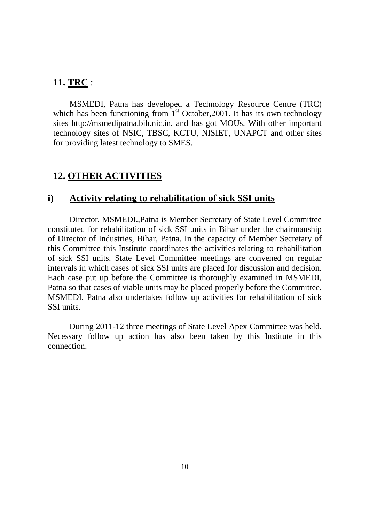#### **11. TRC** :

MSMEDI, Patna has developed a Technology Resource Centre (TRC) which has been functioning from  $1<sup>st</sup>$  October, 2001. It has its own technology sites http://msmedipatna.bih.nic.in, and has got MOUs. With other important technology sites of NSIC, TBSC, KCTU, NISIET, UNAPCT and other sites for providing latest technology to SMES.

### **12. OTHER ACTIVITIES**

#### **i) Activity relating to rehabilitation of sick SSI units**

 Director, MSMEDI.,Patna is Member Secretary of State Level Committee constituted for rehabilitation of sick SSI units in Bihar under the chairmanship of Director of Industries, Bihar, Patna. In the capacity of Member Secretary of this Committee this Institute coordinates the activities relating to rehabilitation of sick SSI units. State Level Committee meetings are convened on regular intervals in which cases of sick SSI units are placed for discussion and decision. Each case put up before the Committee is thoroughly examined in MSMEDI, Patna so that cases of viable units may be placed properly before the Committee. MSMEDI, Patna also undertakes follow up activities for rehabilitation of sick SSI units.

 During 2011-12 three meetings of State Level Apex Committee was held. Necessary follow up action has also been taken by this Institute in this connection.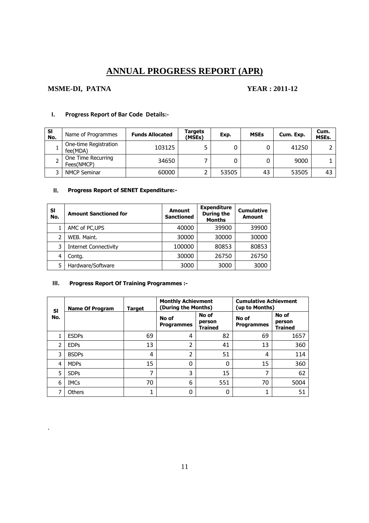# **ANNUAL PROGRESS REPORT (APR)**

#### **MSME-DI, PATNA YEAR : 2011-12**

.

| <b>SI</b><br>No. | Name of Programmes                | <b>Funds Allocated</b> | Targets<br>(MSEs) | Exp.  | <b>MSEs</b> | Cum. Exp. | Cum.<br><b>MSEs.</b> |
|------------------|-----------------------------------|------------------------|-------------------|-------|-------------|-----------|----------------------|
|                  | One-time Registration<br>fee(MDA) | 103125                 |                   |       |             | 41250     |                      |
|                  | One Time Recurring<br>Fees(NMCP)  | 34650                  |                   |       |             | 9000      |                      |
|                  | <b>NMCP Seminar</b>               | 60000                  |                   | 53505 | 43          | 53505     | 43                   |

#### **I. Progress Report of Bar Code Details:-**

#### **II. Progress Report of SENET Expenditure:-**

| SI<br>No. | <b>Amount Sanctioned for</b> | <b>Amount</b><br><b>Sanctioned</b> | <b>Expenditure</b><br>During the<br><b>Months</b> | <b>Cumulative</b><br><b>Amount</b> |
|-----------|------------------------------|------------------------------------|---------------------------------------------------|------------------------------------|
|           | AMC of PC, UPS               | 40000                              | 39900                                             | 39900                              |
| 2         | WEB. Maint.                  | 30000                              | 30000                                             | 30000                              |
| 3         | <b>Internet Connectivity</b> | 100000                             | 80853                                             | 80853                              |
| 4         | Contg.                       | 30000                              | 26750                                             | 26750                              |
| 5         | Hardware/Software            | 3000                               | 3000                                              | 3000                               |

#### **III. Progress Report Of Training Programmes :-**

| SI  | <b>Name Of Program</b> | <b>Target</b> | <b>Monthly Achievment</b><br>(During the Months) |                                   | <b>Cumulative Achievment</b><br>(up to Months) |                                   |  |
|-----|------------------------|---------------|--------------------------------------------------|-----------------------------------|------------------------------------------------|-----------------------------------|--|
| No. |                        |               | No of<br><b>Programmes</b>                       | No of<br>person<br><b>Trained</b> | No of<br><b>Programmes</b>                     | No of<br>person<br><b>Trained</b> |  |
|     | <b>ESDPs</b>           | 69            | 4                                                | 82                                | 69                                             | 1657                              |  |
| 2   | <b>EDPs</b>            | 13            | 2                                                | 41                                | 13                                             | 360                               |  |
| 3   | <b>BSDPs</b>           | 4             | 2                                                | 51                                | 4                                              | 114                               |  |
| 4   | <b>MDPs</b>            | 15            | 0                                                | 0                                 | 15                                             | 360                               |  |
| 5   | <b>SDPs</b>            | ⇁             | 3                                                | 15                                |                                                | 62                                |  |
| 6   | <b>IMCs</b>            | 70            | 6                                                | 551                               | 70                                             | 5004                              |  |
|     | Others                 | 1             |                                                  | 0                                 | 1                                              | 51                                |  |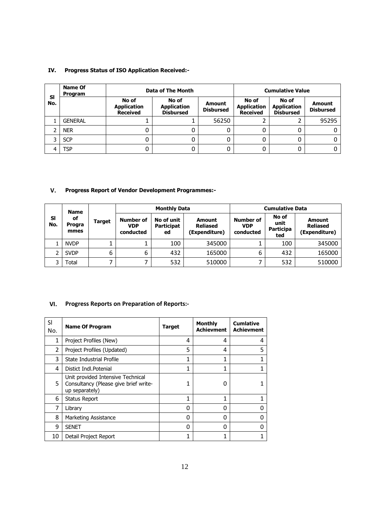#### **IV. Progress Status of ISO Application Received:-**

|           | <b>Name Of</b><br><b>Program</b> |                                                | Data of The Month                               |                            | <b>Cumulative Value</b>                        |                                                 |                                   |
|-----------|----------------------------------|------------------------------------------------|-------------------------------------------------|----------------------------|------------------------------------------------|-------------------------------------------------|-----------------------------------|
| SI<br>No. |                                  | No of<br><b>Application</b><br><b>Received</b> | No of<br><b>Application</b><br><b>Disbursed</b> | Amount<br><b>Disbursed</b> | No of<br><b>Application</b><br><b>Received</b> | No of<br><b>Application</b><br><b>Disbursed</b> | <b>Amount</b><br><b>Disbursed</b> |
|           | <b>GENERAL</b>                   |                                                |                                                 | 56250                      |                                                |                                                 | 95295                             |
|           | <b>NER</b>                       | 0                                              |                                                 |                            |                                                |                                                 |                                   |
|           | <b>SCP</b>                       | 0                                              |                                                 | 0                          |                                                |                                                 |                                   |
|           | TSP                              | 0                                              |                                                 |                            |                                                |                                                 |                                   |

#### **V. Progress Report of Vendor Development Programmes:-**

|   | <b>Name</b><br>SI<br>οf<br>Target<br>No.<br><b>Progra</b><br>mmes |   | <b>Monthly Data</b>                  |                                       |                                            | <b>Cumulative Data</b>                      |                                          |                                            |
|---|-------------------------------------------------------------------|---|--------------------------------------|---------------------------------------|--------------------------------------------|---------------------------------------------|------------------------------------------|--------------------------------------------|
|   |                                                                   |   | Number of<br><b>VDP</b><br>conducted | No of unit<br><b>Participat</b><br>ed | Amount<br><b>Reliased</b><br>(Expenditure) | <b>Number of</b><br><b>VDP</b><br>conducted | No of<br>unit<br><b>Participa</b><br>ted | Amount<br><b>Reliased</b><br>(Expenditure) |
|   | <b>NVDP</b>                                                       |   |                                      | 100                                   | 345000                                     |                                             | 100                                      | 345000                                     |
| ∍ | <b>SVDP</b>                                                       | 6 | 6                                    | 432                                   | 165000                                     | 6                                           | 432                                      | 165000                                     |
| っ | Total                                                             |   |                                      | 532                                   | 510000                                     | 7                                           | 532                                      | 510000                                     |

#### **VI. Progress Reports on Preparation of Reports:-**

| SI<br>No.      | <b>Name Of Program</b>                                                                       | <b>Target</b> | <b>Monthly</b><br><b>Achievment</b> | <b>Cumlative</b><br><b>Achievment</b> |
|----------------|----------------------------------------------------------------------------------------------|---------------|-------------------------------------|---------------------------------------|
| 1              | Project Profiles (New)                                                                       | 4             | 4                                   | 4                                     |
| $\overline{2}$ | Project Profiles (Updated)                                                                   | 5             | 4                                   | 5                                     |
| 3              | State Industrial Profile                                                                     | 1             | 1                                   | 1                                     |
| 4              | Distict Indl. Potenial                                                                       | 1             |                                     | 1                                     |
| 5              | Unit provided Intensive Technical<br>Consultancy (Please give brief write-<br>up separately) | 1             | O                                   |                                       |
| 6              | <b>Status Report</b>                                                                         | 1             | 1                                   |                                       |
| 7              | Library                                                                                      | 0             | O                                   | U                                     |
| 8              | Marketing Assistance                                                                         | 0             | O                                   | U                                     |
| 9              | <b>SENET</b>                                                                                 | 0             | 0                                   | n                                     |
| 10             | Detail Project Report                                                                        | 1             |                                     |                                       |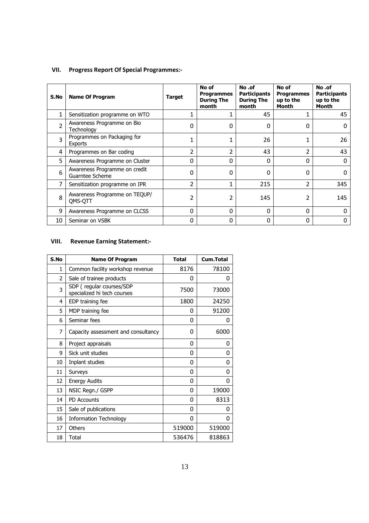#### **VII. Progress Report Of Special Programmes:-**

| S.No           | <b>Name Of Program</b>                           | Target       | No of<br><b>Programmes</b><br><b>During The</b><br>month | No .of<br><b>Participants</b><br><b>During The</b><br>month | No of<br><b>Programmes</b><br>up to the<br>Month | No .of<br><b>Participants</b><br>up to the<br>Month |
|----------------|--------------------------------------------------|--------------|----------------------------------------------------------|-------------------------------------------------------------|--------------------------------------------------|-----------------------------------------------------|
| $\mathbf{1}$   | Sensitization programme on WTO                   |              |                                                          | 45                                                          | 1                                                | 45                                                  |
| $\overline{2}$ | Awareness Programme on Bio<br>Technology         | ი            | O                                                        | 0                                                           | 0                                                | 0                                                   |
| 3              | Programmes on Packaging for<br>Exports           |              |                                                          | 26                                                          | $\mathbf{1}$                                     | 26                                                  |
| 4              | Programmes on Bar coding                         | 2            | 2                                                        | 43                                                          | 2                                                | 43                                                  |
| 5              | Awareness Programme on Cluster                   | 0            | 0                                                        | 0                                                           | $\Omega$                                         | 0                                                   |
| 6              | Awareness Programme on credit<br>Guarntee Scheme | 0            | <sup>0</sup>                                             | 0                                                           | $\Omega$                                         | 0                                                   |
|                | Sensitization programme on IPR                   | 2            | 1                                                        | 215                                                         | 2                                                | 345                                                 |
| 8              | Awareness Programme on TEQUP/<br>OMS-OTT         | 2            | 2                                                        | 145                                                         | 2                                                | 145                                                 |
| 9              | Awareness Programme on CLCSS                     | <sup>0</sup> | $\Omega$                                                 | 0                                                           | $\Omega$                                         | <sup>0</sup>                                        |
| 10             | Seminar on VSBK                                  | 0            | 0                                                        | 0                                                           | 0                                                | 0                                                   |

#### **VIII. Revenue Earning Statement:-**

| S.No           | <b>Name Of Program</b>                                  | <b>Total</b> | Cum.Total |
|----------------|---------------------------------------------------------|--------------|-----------|
| $\mathbf{1}$   | Common facility workshop revenue                        | 8176         | 78100     |
| $\overline{2}$ | Sale of trainee products                                | 0            | 0         |
| 3              | SDP (regular courses/SDP<br>specialized hi tech courses | 7500         | 73000     |
| 4              | EDP training fee                                        | 1800         | 24250     |
| 5              | MDP training fee                                        | 0            | 91200     |
| 6              | Seminar fees                                            | 0            | 0         |
| 7              | Capacity assessment and consultancy                     | 0            | 6000      |
| 8              | Project appraisals                                      | 0            | 0         |
| 9              | Sick unit studies                                       | 0            | 0         |
| 10             | Inplant studies                                         | 0            | 0         |
| 11             | Surveys                                                 | 0            | 0         |
| 12             | <b>Energy Audits</b>                                    | 0            | 0         |
| 13             | NSIC Regn./ GSPP                                        | 0            | 19000     |
| 14             | <b>PD Accounts</b>                                      | 0            | 8313      |
| 15             | Sale of publications                                    | 0            | 0         |
| 16             | <b>Information Technology</b>                           | 0            | 0         |
| 17             | Others                                                  | 519000       | 519000    |
| 18             | <b>Total</b>                                            | 536476       | 818863    |